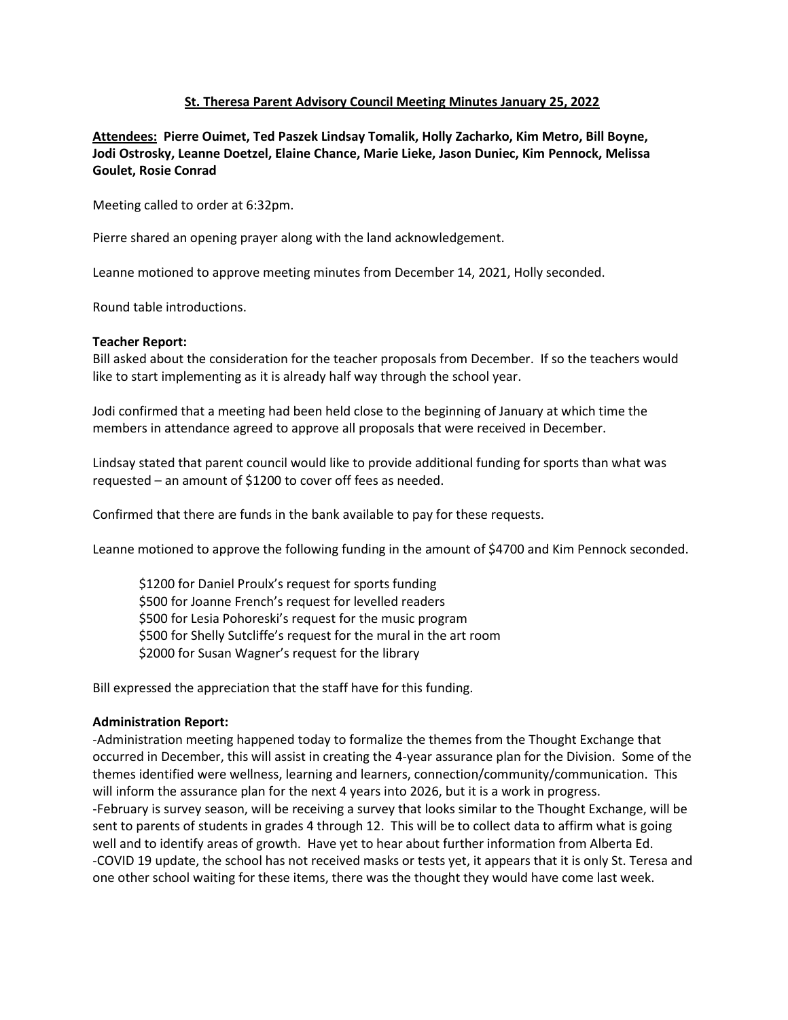# **St. Theresa Parent Advisory Council Meeting Minutes January 25, 2022**

**Attendees: Pierre Ouimet, Ted Paszek Lindsay Tomalik, Holly Zacharko, Kim Metro, Bill Boyne, Jodi Ostrosky, Leanne Doetzel, Elaine Chance, Marie Lieke, Jason Duniec, Kim Pennock, Melissa Goulet, Rosie Conrad**

Meeting called to order at 6:32pm.

Pierre shared an opening prayer along with the land acknowledgement.

Leanne motioned to approve meeting minutes from December 14, 2021, Holly seconded.

Round table introductions.

### **Teacher Report:**

Bill asked about the consideration for the teacher proposals from December. If so the teachers would like to start implementing as it is already half way through the school year.

Jodi confirmed that a meeting had been held close to the beginning of January at which time the members in attendance agreed to approve all proposals that were received in December.

Lindsay stated that parent council would like to provide additional funding for sports than what was requested – an amount of \$1200 to cover off fees as needed.

Confirmed that there are funds in the bank available to pay for these requests.

Leanne motioned to approve the following funding in the amount of \$4700 and Kim Pennock seconded.

\$1200 for Daniel Proulx's request for sports funding \$500 for Joanne French's request for levelled readers \$500 for Lesia Pohoreski's request for the music program \$500 for Shelly Sutcliffe's request for the mural in the art room \$2000 for Susan Wagner's request for the library

Bill expressed the appreciation that the staff have for this funding.

# **Administration Report:**

-Administration meeting happened today to formalize the themes from the Thought Exchange that occurred in December, this will assist in creating the 4-year assurance plan for the Division. Some of the themes identified were wellness, learning and learners, connection/community/communication. This will inform the assurance plan for the next 4 years into 2026, but it is a work in progress. -February is survey season, will be receiving a survey that looks similar to the Thought Exchange, will be sent to parents of students in grades 4 through 12. This will be to collect data to affirm what is going well and to identify areas of growth. Have yet to hear about further information from Alberta Ed. -COVID 19 update, the school has not received masks or tests yet, it appears that it is only St. Teresa and one other school waiting for these items, there was the thought they would have come last week.